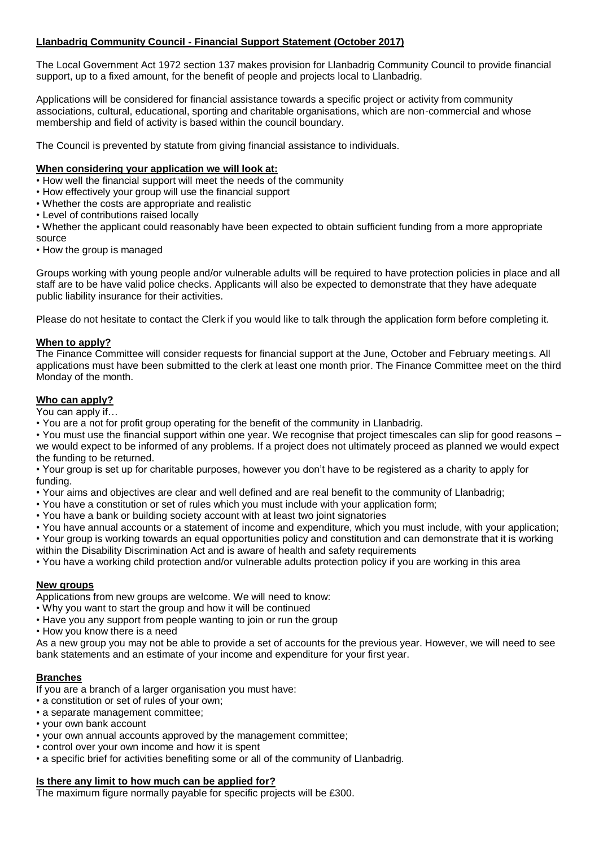# **Llanbadrig Community Council - Financial Support Statement (October 2017)**

The Local Government Act 1972 section 137 makes provision for Llanbadrig Community Council to provide financial support, up to a fixed amount, for the benefit of people and projects local to Llanbadrig.

Applications will be considered for financial assistance towards a specific project or activity from community associations, cultural, educational, sporting and charitable organisations, which are non-commercial and whose membership and field of activity is based within the council boundary.

The Council is prevented by statute from giving financial assistance to individuals.

#### **When considering your application we will look at:**

• How well the financial support will meet the needs of the community

- How effectively your group will use the financial support
- Whether the costs are appropriate and realistic
- Level of contributions raised locally

• Whether the applicant could reasonably have been expected to obtain sufficient funding from a more appropriate source

• How the group is managed

Groups working with young people and/or vulnerable adults will be required to have protection policies in place and all staff are to be have valid police checks. Applicants will also be expected to demonstrate that they have adequate public liability insurance for their activities.

Please do not hesitate to contact the Clerk if you would like to talk through the application form before completing it.

### **When to apply?**

The Finance Committee will consider requests for financial support at the June, October and February meetings. All applications must have been submitted to the clerk at least one month prior. The Finance Committee meet on the third Monday of the month.

## **Who can apply?**

You can apply if…

• You are a not for profit group operating for the benefit of the community in Llanbadrig.

• You must use the financial support within one year. We recognise that project timescales can slip for good reasons – we would expect to be informed of any problems. If a project does not ultimately proceed as planned we would expect the funding to be returned.

• Your group is set up for charitable purposes, however you don't have to be registered as a charity to apply for funding.

- Your aims and objectives are clear and well defined and are real benefit to the community of Llanbadrig;
- You have a constitution or set of rules which you must include with your application form;
- You have a bank or building society account with at least two joint signatories
- You have annual accounts or a statement of income and expenditure, which you must include, with your application;

• Your group is working towards an equal opportunities policy and constitution and can demonstrate that it is working within the Disability Discrimination Act and is aware of health and safety requirements

• You have a working child protection and/or vulnerable adults protection policy if you are working in this area

## **New groups**

Applications from new groups are welcome. We will need to know:

- Why you want to start the group and how it will be continued
- Have you any support from people wanting to join or run the group
- How you know there is a need

As a new group you may not be able to provide a set of accounts for the previous year. However, we will need to see bank statements and an estimate of your income and expenditure for your first year.

## **Branches**

If you are a branch of a larger organisation you must have:

- a constitution or set of rules of your own;
- a separate management committee;
- your own bank account
- your own annual accounts approved by the management committee;
- control over your own income and how it is spent
- a specific brief for activities benefiting some or all of the community of Llanbadrig.

# **Is there any limit to how much can be applied for?**

The maximum figure normally payable for specific projects will be £300.